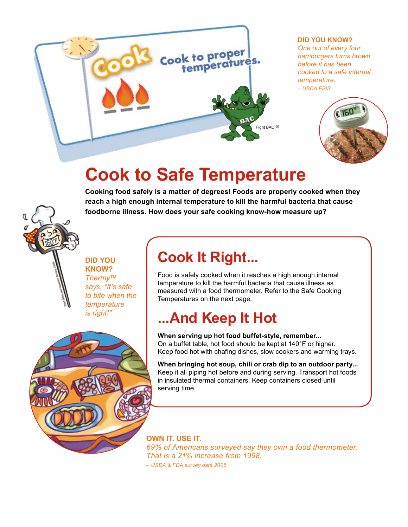

### **Did You Know?**

*One out of every four hamburgers turns brown before it has been cooked to a safe internal temperature. – USDA FSIS* 



# **Cook to Safe Temperature**

**Cooking food safely is a matter of degrees! Foods are properly cooked when they reach a high enough internal temperature to kill the harmful bacteria that cause foodborne illness. How does your safe cooking know-how measure up?**

**Did You Know?** *Thermy™ says, "It's safe to bite when the temperature is right!"* 

## **Cook It Right...**

Food is safely cooked when it reaches a high enough internal temperature to kill the harmful bacteria that cause illness as measured with a food thermometer. Refer to the Safe Cooking Temperatures on the next page.

## **...And Keep It Hot**

**When serving up hot food buffet-style, remember...** On a buffet table, hot food should be kept at 140°F or higher. Keep food hot with chafing dishes, slow cookers and warming trays.

**When bringing hot soup, chili or crab dip to an outdoor party...** Keep it all piping hot before and during serving. Transport hot foods in insulated thermal containers. Keep containers closed until serving time.

**Own it. Use it.** *69% of Americans surveyed say they own a food thermometer. That is a 21% increase from 1998. – USDA & FDA survey data 2006*